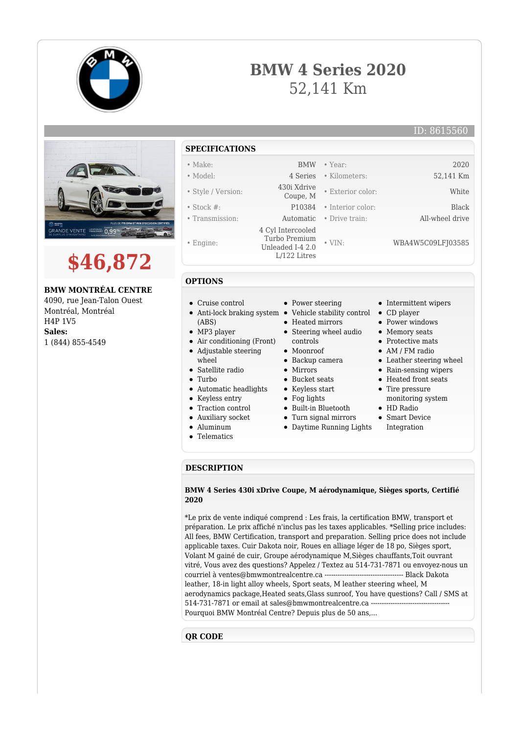

# **BMW 4 Series 2020** 52,141 Km

ID: 8615560





**BMW MONTRÉAL CENTRE**

4090, rue Jean-Talon Ouest Montréal, Montréal H4P 1V5 **Sales:** 1 (844) 855-4549

# **SPECIFICATIONS**

- Make: BMW Year: 2020
- Model: 4 Series Kilometers: 52,141 Km
- Style / Version: 430i Xdrive
- Stock #: P10384 Interior color: Black
- Transmission: Automatic Drive train: All-wheel drive
- Engine:
- 

**OPTIONS**

(ABS) • MP3 player

wheel • Satellite radio

• Turbo

Cruise control

Air conditioning (Front) Adjustable steering

Automatic headlights • Keyless entry • Traction control Auxiliary socket Aluminum • Telematics

- 4 Cyl Intercooled Turbo Premium Unleaded I-4 2.0 L/122 Litres
	- - Power steering
- Anti-lock braking system Vehicle stability control CD player
	- Heated mirrors
	- Steering wheel audio
	- controls
	- Moonroof
	- Backup camera
	- $\bullet$  Mirrors
	- Bucket seats
	- Keyless start
	- $\bullet$  Fog lights
	- Built-in Bluetooth
	- Turn signal mirrors
	- Daytime Running Lights
- Intermittent wipers
- 

• Exterior color: White

• VIN: WBA4W5C09LFJ03585

- Power windows
- Memory seats
- Protective mats
- AM / FM radio
- Leather steering wheel
- Rain-sensing wipers
- Heated front seats
- Tire pressure
- monitoring system • HD Radio
- Smart Device
- Integration

## **DESCRIPTION**

#### **BMW 4 Series 430i xDrive Coupe, M aérodynamique, Sièges sports, Certifié 2020**

\*Le prix de vente indiqué comprend : Les frais, la certification BMW, transport et préparation. Le prix affiché n'inclus pas les taxes applicables. \*Selling price includes: All fees, BMW Certification, transport and preparation. Selling price does not include applicable taxes. Cuir Dakota noir, Roues en alliage léger de 18 po, Sièges sport, Volant M gainé de cuir, Groupe aérodynamique M,Sièges chauffants,Toit ouvrant vitré, Vous avez des questions? Appelez / Textez au 514-731-7871 ou envoyez-nous un courriel à ventes@bmwmontrealcentre.ca ------------------------------------ Black Dakota leather, 18-in light alloy wheels, Sport seats, M leather steering wheel, M aerodynamics package,Heated seats,Glass sunroof, You have questions? Call / SMS at 514-731-7871 or email at sales@bmwmontrealcentre.ca -----------------------------------Pourquoi BMW Montréal Centre? Depuis plus de 50 ans,...

### **QR CODE**